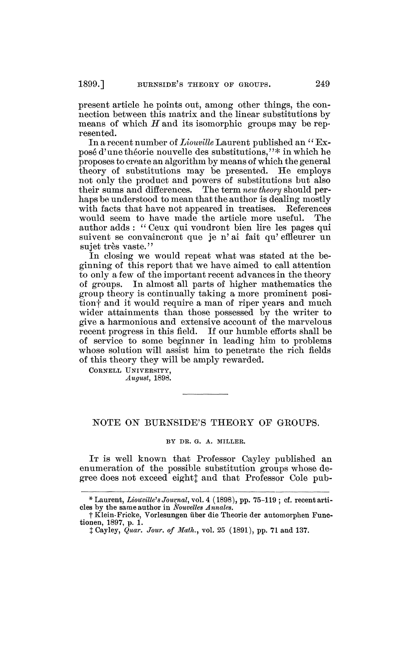present article he points out, among other things, the connection between this matrix and the linear substitutions by means of which *H* and its isomorphic groups may be represented.

In a recent number of *Liouville* Laurent published an  *i (* Exposé d'une théorie nouvelle des substitutions,"\* in which he proposes to create an algorithm by means of which the general theory of substitutions may be presented. He employs not only the product and powers of substitutions but also their sums and differences. The term *new theory* should per-The term *new theory* should perhaps be understood to mean that the author is dealing mostly with facts that have not appeared in treatises. References would seem to have made the article more useful. The author adds : " Ceux qui voudront bien lire les pages qui suivent se convaincront que je n'ai fait qu'effleurer un sujet très vaste."

In closing we would repeat what was stated at the beginning of this report that we have aimed to call attention to only a few of the important recent advances in the theory of groups. In almost all parts of higher mathematics the group theory is continually taking a more prominent position<sup>†</sup> and it would require a man of riper years and much wider attainments than those possessed by the writer to give a harmonious and extensive account of the marvelous recent progress in this field. If our humble efforts shall be of service to some beginner in leading him to problems whose solution will assist him to penetrate the rich fields of this theory they will be amply rewarded.

CORNELL UNIVERSITY, *August,* 1898.

## NOTE ON BURNSIDE'S THEORY OF GROUPS.

## BY DR. G. A. MILLER.

It is well known that Professor Cayley published an enumeration of the possible substitution groups whose degree does not exceed eighty and that Professor Cole pub-

<sup>\*</sup> Laurent, *Liouville<sup>1</sup> s Journal,* vol. 4 (1898), pp. 75-119 ; cf. recent articles by the same author in *Nouvelles Annales.* 

f Klein-Fricke, Vorlesungen über die Theorie der automorphen Functionen, 1897, p. 1.

*t* Cayley, *Quar. Jour, of Math.,* vol. 25 (1891), pp. 71 and 137.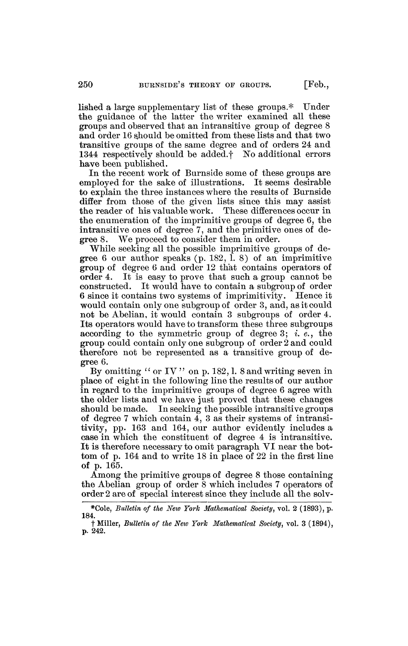lished a large supplementary list of these groups.\* Under the guidance of the latter the writer examined all these groups and observed that an intransitive group of degree 8 and order 16 should be omitted from these lists and that two transitive groups of the same degree and of orders 24 and 1344 respectively should be added.f No additional errors have been published.

In the recent work of Burnside some of these groups are employed for the sake of illustrations. It seems desirable to explain the three instances where the results of Burnside differ from those of the given lists since this may assist the reader of his valuable work. These differences occur in the reader of his valuable work. the enumeration of the imprimitive groups of degree 6, the intransitive ones of degree 7, and the primitive ones of degree 8. We proceed to consider them in order.

While seeking all the possible imprimitive groups of degree 6 our author speaks  $(p. 182, \overline{1}, 8)$  of an imprimitive group of degree 6 and order 12 that contains operators of It is easy to prove that such a group cannot be constructed. It would have to contain a subgroup of order 6 since it contains two systems of imprimitivity. Hence it would contain only one subgroup of order 3, and, as it could not be Abelian, it would contain 3 subgroups of order 4. Its operators would have to transform these three subgroups according to the symmetric group of degree 3; *i. e.,* the group could contain only one subgroup of order 2 and could therefore not be represented as a transitive group of degree 6.

By omitting " or IV" on p. 182, 1. 8 and writing seven in place of eight in the following line the results of our author in regard to the imprimitive groups of degree 6 agree with the older lists and we have just proved that these changes should be made. In seeking the possible intransitive groups of degree 7 which contain  $\overline{4}$ , 3 as their systems of intransitivity, pp. 163 and 164, our author evidently includes a case in which the constituent of degree 4 is intransitive. It is therefore necessary to omit paragraph VI near the bottom of p. 164 and to write 18 in place of 22 in the first line of p. 165.

Among the primitive groups of degree 8 those containing the Abelian group of order 8 which includes 7 operators of order 2 are of special interest since they include all the solv-

<sup>\*</sup>Cole, *Bulletin of the New York Mathematical Society<sup>t</sup>* vol. 2 (1893), p. 184.

t Miller, *Bulletin of the New York Mathematical Society,* vol. 3 (1894), p. 242.